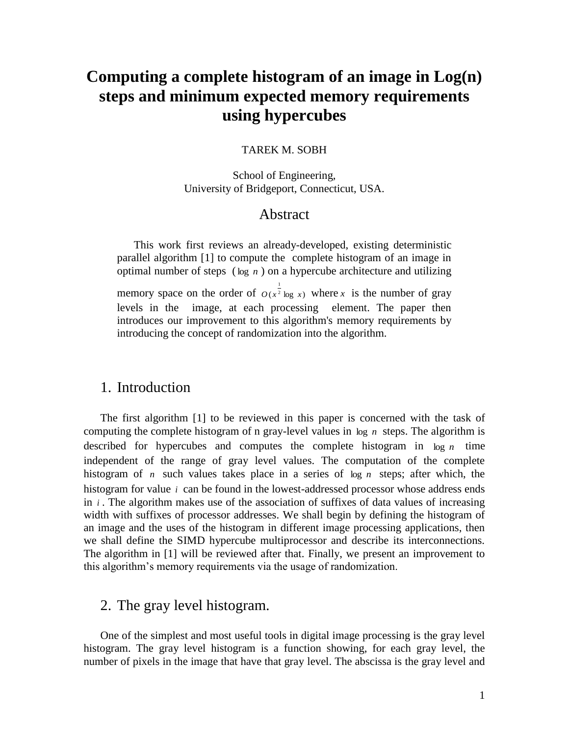# **Computing a complete histogram of an image in Log(n) steps and minimum expected memory requirements using hypercubes**

#### TAREK M. SOBH

School of Engineering, University of Bridgeport, Connecticut, USA.

# Abstract

This work first reviews an already-developed, existing deterministic parallel algorithm [1] to compute the complete histogram of an image in optimal number of steps ( $log n$ ) on a hypercube architecture and utilizing memory space on the order of  $O(x^2 \log x)$ 1  $O(x^2 \log x)$  where *x* is the number of gray levels in the image, at each processing element. The paper then introduces our improvement to this algorithm's memory requirements by introducing the concept of randomization into the algorithm.

#### 1. Introduction

The first algorithm [1] to be reviewed in this paper is concerned with the task of computing the complete histogram of n gray-level values in  $log n$  steps. The algorithm is described for hypercubes and computes the complete histogram in  $\log n$  time independent of the range of gray level values. The computation of the complete histogram of *n* such values takes place in a series of  $log n$  steps; after which, the histogram for value *i* can be found in the lowest-addressed processor whose address ends in *i* . The algorithm makes use of the association of suffixes of data values of increasing width with suffixes of processor addresses. We shall begin by defining the histogram of an image and the uses of the histogram in different image processing applications, then we shall define the SIMD hypercube multiprocessor and describe its interconnections. The algorithm in [1] will be reviewed after that. Finally, we present an improvement to this algorithm's memory requirements via the usage of randomization.

# 2. The gray level histogram.

One of the simplest and most useful tools in digital image processing is the gray level histogram. The gray level histogram is a function showing, for each gray level, the number of pixels in the image that have that gray level. The abscissa is the gray level and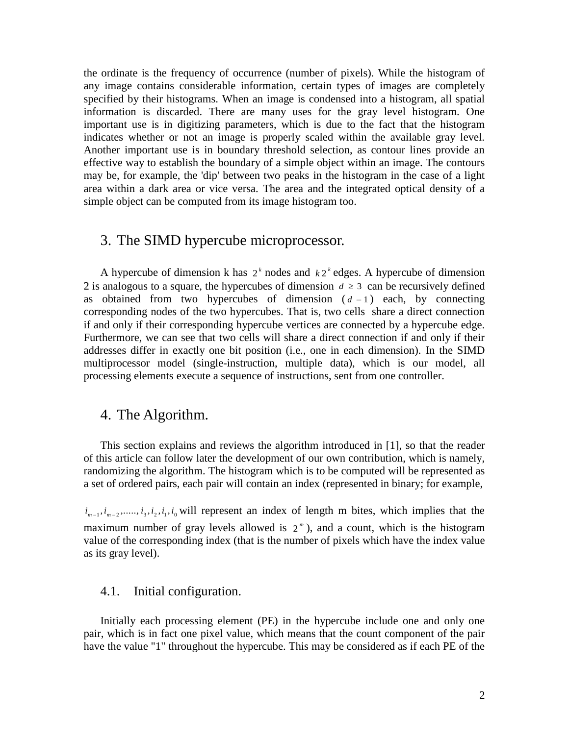the ordinate is the frequency of occurrence (number of pixels). While the histogram of any image contains considerable information, certain types of images are completely specified by their histograms. When an image is condensed into a histogram, all spatial information is discarded. There are many uses for the gray level histogram. One important use is in digitizing parameters, which is due to the fact that the histogram indicates whether or not an image is properly scaled within the available gray level. Another important use is in boundary threshold selection, as contour lines provide an effective way to establish the boundary of a simple object within an image. The contours may be, for example, the 'dip' between two peaks in the histogram in the case of a light area within a dark area or vice versa. The area and the integrated optical density of a simple object can be computed from its image histogram too.

# 3. The SIMD hypercube microprocessor.

A hypercube of dimension k has  $2<sup>k</sup>$  nodes and  $k2<sup>k</sup>$  edges. A hypercube of dimension 2 is analogous to a square, the hypercubes of dimension  $d \geq 3$  can be recursively defined as obtained from two hypercubes of dimension  $(d-1)$  each, by connecting corresponding nodes of the two hypercubes. That is, two cells share a direct connection if and only if their corresponding hypercube vertices are connected by a hypercube edge. Furthermore, we can see that two cells will share a direct connection if and only if their addresses differ in exactly one bit position (i.e., one in each dimension). In the SIMD multiprocessor model (single-instruction, multiple data), which is our model, all processing elements execute a sequence of instructions, sent from one controller.

## 4. The Algorithm.

This section explains and reviews the algorithm introduced in [1], so that the reader of this article can follow later the development of our own contribution, which is namely, randomizing the algorithm. The histogram which is to be computed will be represented as a set of ordered pairs, each pair will contain an index (represented in binary; for example,

 $i_{m-1}, i_{m-2}, \ldots, i_3, i_2, i_1, i_0$  will represent an index of length m bites, which implies that the maximum number of gray levels allowed is  $2<sup>m</sup>$ ), and a count, which is the histogram value of the corresponding index (that is the number of pixels which have the index value as its gray level).

#### 4.1. Initial configuration.

Initially each processing element (PE) in the hypercube include one and only one pair, which is in fact one pixel value, which means that the count component of the pair have the value "1" throughout the hypercube. This may be considered as if each PE of the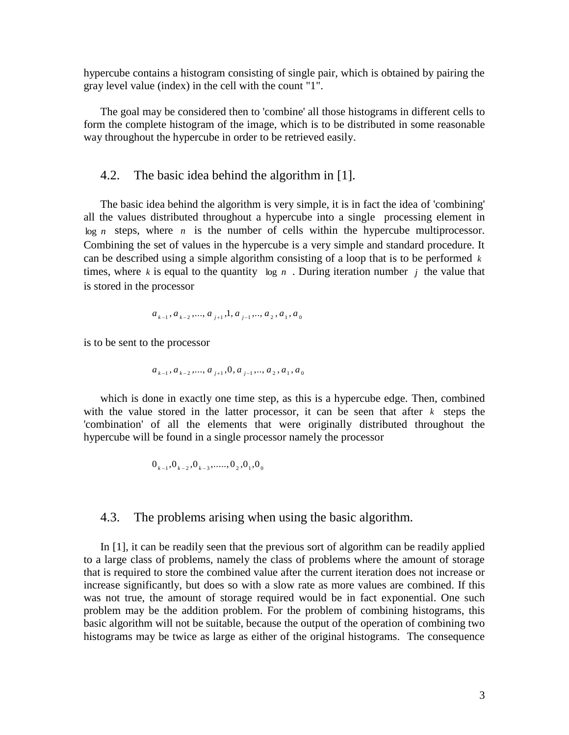hypercube contains a histogram consisting of single pair, which is obtained by pairing the gray level value (index) in the cell with the count "1".

The goal may be considered then to 'combine' all those histograms in different cells to form the complete histogram of the image, which is to be distributed in some reasonable way throughout the hypercube in order to be retrieved easily.

#### 4.2. The basic idea behind the algorithm in [1].

The basic idea behind the algorithm is very simple, it is in fact the idea of 'combining' all the values distributed throughout a hypercube into a single processing element in  $log n$  steps, where  $n$  is the number of cells within the hypercube multiprocessor. Combining the set of values in the hypercube is a very simple and standard procedure. It can be described using a simple algorithm consisting of a loop that is to be performed *k* times, where  $k$  is equal to the quantity log  $n$ . During iteration number  $j$  the value that is stored in the processor

$$
a_{k-1}, a_{k-2}, \ldots, a_{j+1}, 1, a_{j-1}, \ldots, a_2, a_1, a_0
$$

is to be sent to the processor

$$
a_{k-1}, a_{k-2}, \ldots, a_{j+1}, 0, a_{j-1}, \ldots, a_2, a_1, a_0
$$

which is done in exactly one time step, as this is a hypercube edge. Then, combined with the value stored in the latter processor, it can be seen that after  $k$  steps the 'combination' of all the elements that were originally distributed throughout the hypercube will be found in a single processor namely the processor

$$
0_{k-1}, 0_{k-2}, 0_{k-3}, \ldots, 0_2, 0_1, 0_0
$$

#### 4.3. The problems arising when using the basic algorithm.

In [1], it can be readily seen that the previous sort of algorithm can be readily applied to a large class of problems, namely the class of problems where the amount of storage that is required to store the combined value after the current iteration does not increase or increase significantly, but does so with a slow rate as more values are combined. If this was not true, the amount of storage required would be in fact exponential. One such problem may be the addition problem. For the problem of combining histograms, this basic algorithm will not be suitable, because the output of the operation of combining two histograms may be twice as large as either of the original histograms. The consequence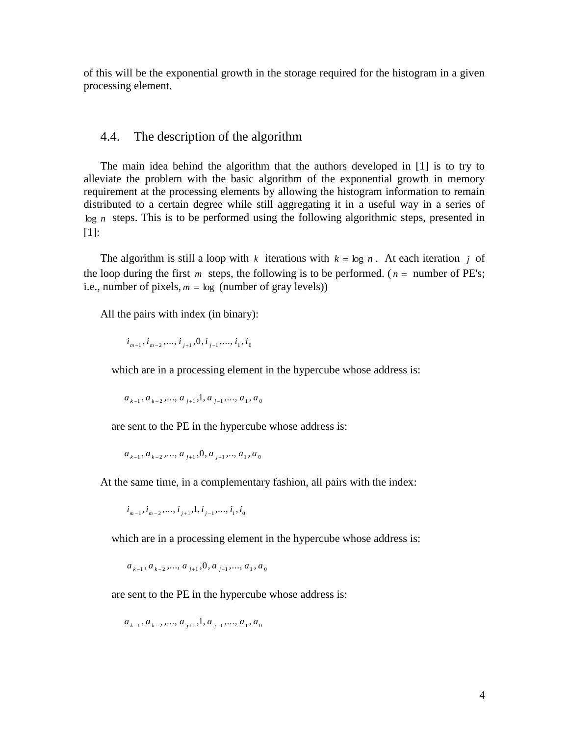of this will be the exponential growth in the storage required for the histogram in a given processing element.

#### 4.4. The description of the algorithm

The main idea behind the algorithm that the authors developed in [1] is to try to alleviate the problem with the basic algorithm of the exponential growth in memory requirement at the processing elements by allowing the histogram information to remain distributed to a certain degree while still aggregating it in a useful way in a series of log *n* steps. This is to be performed using the following algorithmic steps, presented in [1]:

The algorithm is still a loop with  $k$  iterations with  $k = \log n$ . At each iteration  $j$  of the loop during the first *m* steps, the following is to be performed. ( $n =$  number of PE's; i.e., number of pixels,  $m = \log$  (number of gray levels))

All the pairs with index (in binary):

 $i_{m-1}, i_{m-2}, \ldots, i_{j+1}, 0, i_{j-1}, \ldots, i_1, i_0$ 

which are in a processing element in the hypercube whose address is:

 $a_{k-1}, a_{k-2}, ..., a_{j+1}, 1, a_{j-1}, ..., a_1, a_0$ 

are sent to the PE in the hypercube whose address is:

$$
a_{k-1}, a_{k-2}, \ldots, a_{j+1}, 0, a_{j-1}, \ldots, a_1, a_0
$$

At the same time, in a complementary fashion, all pairs with the index:

 $i_{m-1}, i_{m-2}, \ldots, i_{j+1}, 1, i_{j-1}, \ldots, i_1, i_0$ 

which are in a processing element in the hypercube whose address is:

 $a_{k-1}, a_{k-2}, \ldots, a_{j+1}, 0, a_{j-1}, \ldots, a_1, a_0$ 

are sent to the PE in the hypercube whose address is:

 $a_{k-1}, a_{k-2}, ..., a_{j+1}, 1, a_{j-1}, ..., a_1, a_0$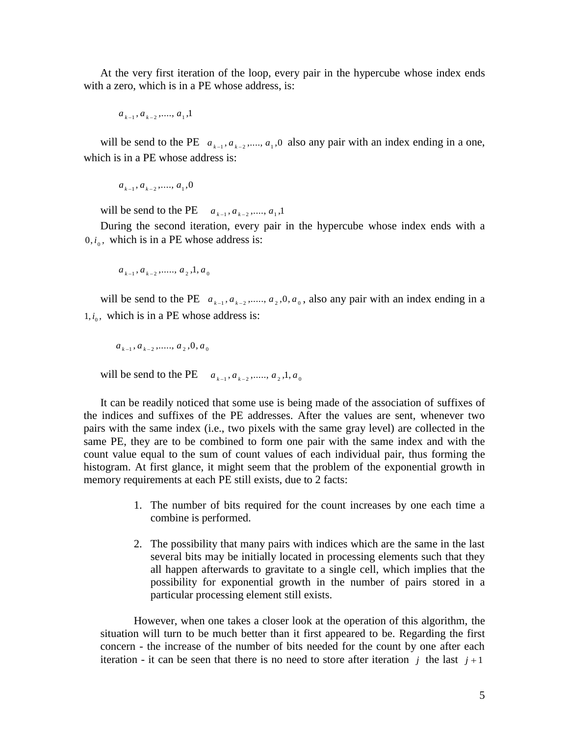At the very first iteration of the loop, every pair in the hypercube whose index ends with a zero, which is in a PE whose address, is:

 $a_{k-1}, a_{k-2}, \ldots, a_1, 1$ 

will be send to the PE  $a_{k-1}, a_{k-2}, \dots, a_1, 0$  also any pair with an index ending in a one, which is in a PE whose address is:

$$
a_{k-1}, a_{k-2}, \ldots, a_1, 0
$$

will be send to the PE  $a_{k-1}, a_{k-2}, \dots, a_1, 1$ 

During the second iteration, every pair in the hypercube whose index ends with a  $0, i_0$ , which is in a PE whose address is:

 $a_{k-1}, a_{k-2}, \ldots, a_{2}, 1, a_{0}$ 

will be send to the PE  $a_{k-1}, a_{k-2}, \dots, a_2, 0, a_0$ , also any pair with an index ending in a  $1, i_0$ , which is in a PE whose address is:

 $a_{k-1}, a_{k-2}, \ldots, a_2, 0, a_0$ 

will be send to the PE  $a_{k-1}, a_{k-2}, \dots, a_2, 1, a_0$ 

It can be readily noticed that some use is being made of the association of suffixes of the indices and suffixes of the PE addresses. After the values are sent, whenever two pairs with the same index (i.e., two pixels with the same gray level) are collected in the same PE, they are to be combined to form one pair with the same index and with the count value equal to the sum of count values of each individual pair, thus forming the histogram. At first glance, it might seem that the problem of the exponential growth in memory requirements at each PE still exists, due to 2 facts:

- 1. The number of bits required for the count increases by one each time a combine is performed.
- 2. The possibility that many pairs with indices which are the same in the last several bits may be initially located in processing elements such that they all happen afterwards to gravitate to a single cell, which implies that the possibility for exponential growth in the number of pairs stored in a particular processing element still exists.

However, when one takes a closer look at the operation of this algorithm, the situation will turn to be much better than it first appeared to be. Regarding the first concern - the increase of the number of bits needed for the count by one after each iteration - it can be seen that there is no need to store after iteration  $j$  the last  $j+1$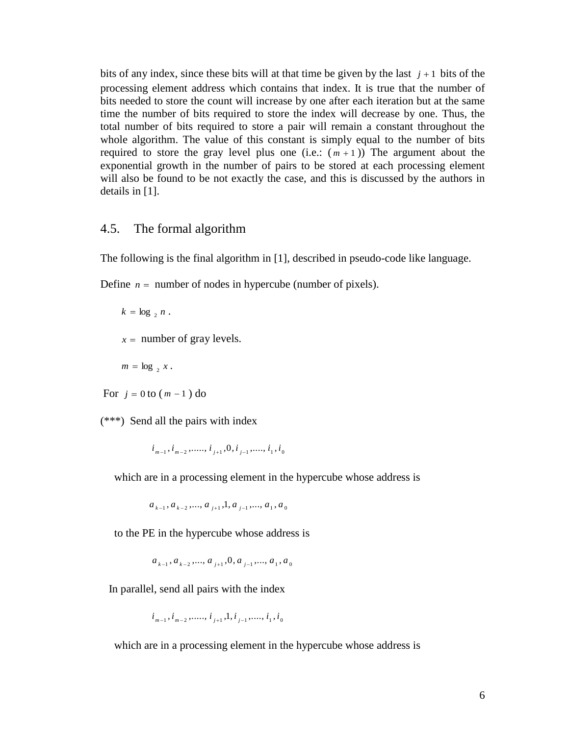bits of any index, since these bits will at that time be given by the last  $j + 1$  bits of the processing element address which contains that index. It is true that the number of bits needed to store the count will increase by one after each iteration but at the same time the number of bits required to store the index will decrease by one. Thus, the total number of bits required to store a pair will remain a constant throughout the whole algorithm. The value of this constant is simply equal to the number of bits required to store the gray level plus one  $(i.e.: (m + 1))$  The argument about the exponential growth in the number of pairs to be stored at each processing element will also be found to be not exactly the case, and this is discussed by the authors in details in [1].

#### 4.5. The formal algorithm

The following is the final algorithm in [1], described in pseudo-code like language.

Define  $n =$  number of nodes in hypercube (number of pixels).

 $k = \log_{2} n$ .

 $x =$  number of gray levels.

 $m = \log_2 x$ .

For  $j = 0$  to  $(m - 1)$  do

(\*\*\*) Send all the pairs with index

 $i_{m-1}, i_{m-2}, \ldots, i_{j+1}, 0, i_{j-1}, \ldots, i_1, i_0$ 

which are in a processing element in the hypercube whose address is

 $a_{k-1}, a_{k-2}, ..., a_{j+1}, 1, a_{j-1}, ..., a_1, a_0$ 

to the PE in the hypercube whose address is

 $a_{k-1}, a_{k-2}, \dots, a_{j+1}, 0, a_{j-1}, \dots, a_1, a_0$ 

In parallel, send all pairs with the index

 $i_{m-1}, i_{m-2}, \ldots, i_{j+1}, 1, i_{j-1}, \ldots, i_1, i_0$ 

which are in a processing element in the hypercube whose address is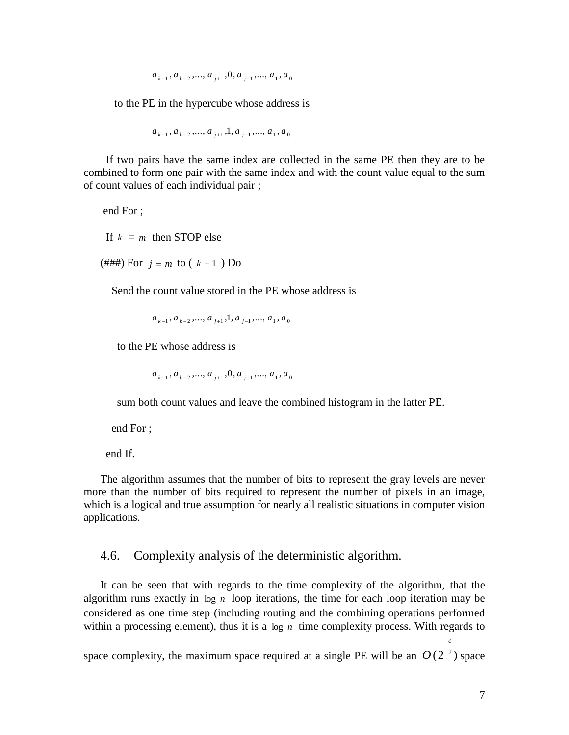$$
a_{k-1}, a_{k-2}, \ldots, a_{j+1}, 0, a_{j-1}, \ldots, a_1, a_0
$$

to the PE in the hypercube whose address is

$$
a_{k-1}, a_{k-2}, \ldots, a_{j+1}, 1, a_{j-1}, \ldots, a_1, a_0
$$

 If two pairs have the same index are collected in the same PE then they are to be combined to form one pair with the same index and with the count value equal to the sum of count values of each individual pair ;

end For ;

If  $k = m$  then STOP else

 $(\# \# \#)$  For  $j = m$  to  $(k - 1)$  Do

Send the count value stored in the PE whose address is

 $a_{k-1}, a_{k-2}, \ldots, a_{j+1}, 1, a_{j-1}, \ldots, a_1, a_0$ 

to the PE whose address is

 $a_{k-1}, a_{k-2}, \ldots, a_{j+1}, 0, a_{j-1}, \ldots, a_1, a_0$ 

sum both count values and leave the combined histogram in the latter PE.

end For ;

end If.

The algorithm assumes that the number of bits to represent the gray levels are never more than the number of bits required to represent the number of pixels in an image, which is a logical and true assumption for nearly all realistic situations in computer vision applications.

#### 4.6. Complexity analysis of the deterministic algorithm.

It can be seen that with regards to the time complexity of the algorithm, that the algorithm runs exactly in  $log n$  loop iterations, the time for each loop iteration may be considered as one time step (including routing and the combining operations performed within a processing element), thus it is a  $log n$  time complexity process. With regards to

space complexity, the maximum space required at a single PE will be an  $O(2<sup>2</sup>)$  space

*c*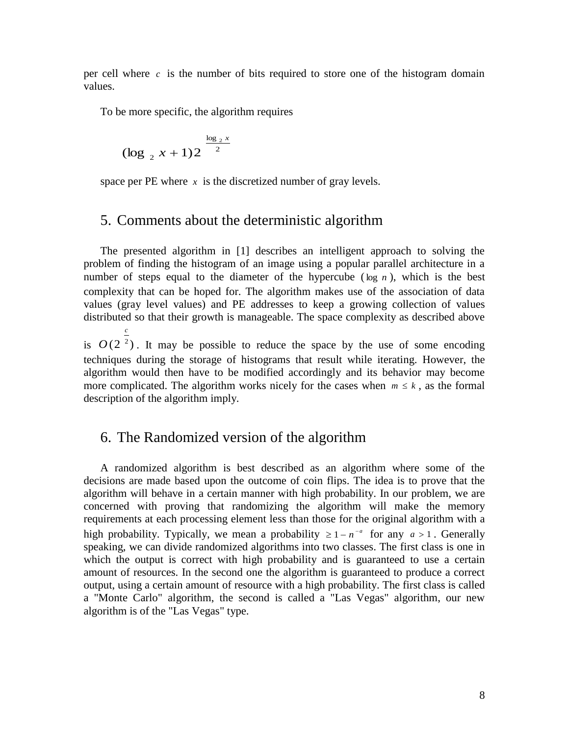per cell where  $c$  is the number of bits required to store one of the histogram domain values.

To be more specific, the algorithm requires

$$
(\log_2 x + 1)2^{-\frac{\log_2 x}{2}}
$$

space per PE where  $x$  is the discretized number of gray levels.

# 5. Comments about the deterministic algorithm

The presented algorithm in [1] describes an intelligent approach to solving the problem of finding the histogram of an image using a popular parallel architecture in a number of steps equal to the diameter of the hypercube ( $\log n$ ), which is the best complexity that can be hoped for. The algorithm makes use of the association of data values (gray level values) and PE addresses to keep a growing collection of values distributed so that their growth is manageable. The space complexity as described above *c*

is  $O(2<sup>2</sup>)$ . It may be possible to reduce the space by the use of some encoding techniques during the storage of histograms that result while iterating. However, the algorithm would then have to be modified accordingly and its behavior may become more complicated. The algorithm works nicely for the cases when  $m \leq k$ , as the formal description of the algorithm imply.

# 6. The Randomized version of the algorithm

A randomized algorithm is best described as an algorithm where some of the decisions are made based upon the outcome of coin flips. The idea is to prove that the algorithm will behave in a certain manner with high probability. In our problem, we are concerned with proving that randomizing the algorithm will make the memory requirements at each processing element less than those for the original algorithm with a high probability. Typically, we mean a probability  $\geq 1 - n^{-a}$  for any  $a > 1$ . Generally speaking, we can divide randomized algorithms into two classes. The first class is one in which the output is correct with high probability and is guaranteed to use a certain amount of resources. In the second one the algorithm is guaranteed to produce a correct output, using a certain amount of resource with a high probability. The first class is called a "Monte Carlo" algorithm, the second is called a "Las Vegas" algorithm, our new algorithm is of the "Las Vegas" type.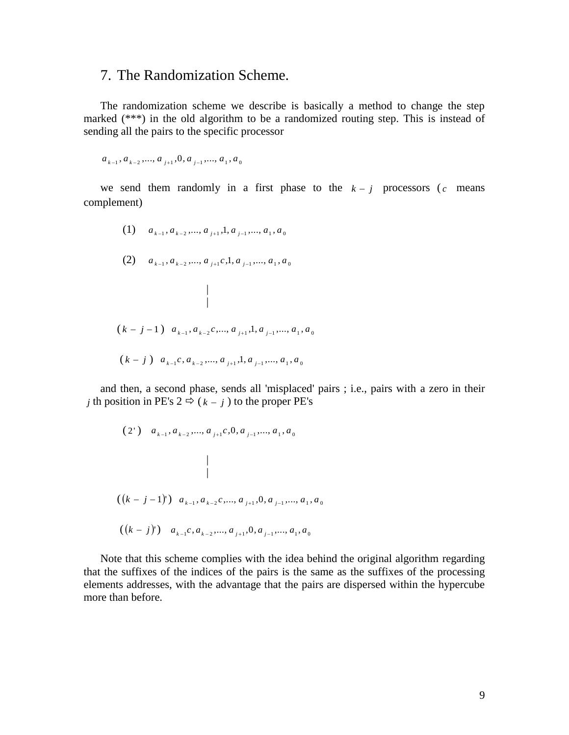# 7. The Randomization Scheme.

The randomization scheme we describe is basically a method to change the step marked (\*\*\*) in the old algorithm to be a randomized routing step. This is instead of sending all the pairs to the specific processor

 $a_{k-1}, a_{k-2}, \dots, a_{j+1}, 0, a_{j-1}, \dots, a_1, a_0$ 

 | |

we send them randomly in a first phase to the  $k - j$  processors (c means complement)

(1) 
$$
a_{k-1}, a_{k-2}, \ldots, a_{j+1}, 1, a_{j-1}, \ldots, a_1, a_0
$$

$$
(2) \quad a_{k-1}, a_{k-2}, \dots, a_{j+1}c, 1, a_{j-1}, \dots, a_1, a_0
$$

$$
(k-j-1) \ a_{k-1}, a_{k-2}, \ldots, a_{j+1}, 1, a_{j-1}, \ldots, a_1, a_0
$$

$$
(k-j)
$$
  $a_{k-1}c, a_{k-2},..., a_{j+1}, 1, a_{j-1},..., a_1, a_0$ 

and then, a second phase, sends all 'misplaced' pairs ; i.e., pairs with a zero in their *j* th position in PE's  $2 \Leftrightarrow (k - j)$  to the proper PE's

$$
(2') \quad a_{k-1}, a_{k-2}, \dots, a_{j+1}c, 0, a_{j-1}, \dots, a_1, a_0
$$
\n
$$
\mid
$$
\n
$$
((k-j-1)') \quad a_{k-1}, a_{k-2}c, \dots, a_{j+1}, 0, a_{j-1}, \dots, a_1, a_0
$$
\n
$$
((k-j)') \quad a_{k-1}c, a_{k-2}, \dots, a_{j+1}, 0, a_{j-1}, \dots, a_1, a_0
$$

Note that this scheme complies with the idea behind the original algorithm regarding that the suffixes of the indices of the pairs is the same as the suffixes of the processing elements addresses, with the advantage that the pairs are dispersed within the hypercube more than before.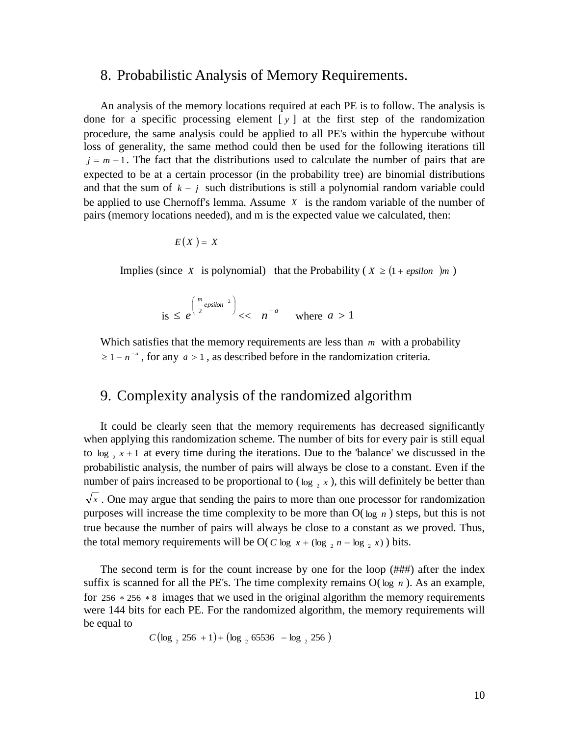## 8. Probabilistic Analysis of Memory Requirements.

An analysis of the memory locations required at each PE is to follow. The analysis is done for a specific processing element [ *y* ] at the first step of the randomization procedure, the same analysis could be applied to all PE's within the hypercube without loss of generality, the same method could then be used for the following iterations till  $j = m - 1$ . The fact that the distributions used to calculate the number of pairs that are expected to be at a certain processor (in the probability tree) are binomial distributions and that the sum of  $k - j$  such distributions is still a polynomial random variable could be applied to use Chernoff's lemma. Assume *X* is the random variable of the number of pairs (memory locations needed), and m is the expected value we calculated, then:

$$
E(X) = X
$$

Implies (since *X* is polynomial) that the Probability ( $X \geq (1 + \epsilon \text{psilon})m$ )

is 
$$
\leq e^{\left(\frac{m}{2} \text{epsilon}^{-2}\right)} \lt \lt n^{-a}
$$
 where  $a > 1$ 

Which satisfies that the memory requirements are less than *m* with a probability  $\geq 1 - n^{-a}$ , for any  $a > 1$ , as described before in the randomization criteria.

# 9. Complexity analysis of the randomized algorithm

It could be clearly seen that the memory requirements has decreased significantly when applying this randomization scheme. The number of bits for every pair is still equal to  $\log_2 x + 1$  at every time during the iterations. Due to the 'balance' we discussed in the probabilistic analysis, the number of pairs will always be close to a constant. Even if the number of pairs increased to be proportional to  $(\log_2 x)$ , this will definitely be better than  $\sqrt{x}$ . One may argue that sending the pairs to more than one processor for randomization purposes will increase the time complexity to be more than O( log *n* ) steps, but this is not true because the number of pairs will always be close to a constant as we proved. Thus, the total memory requirements will be O( $C \log x + (\log_2 n - \log_2 x)$ ) bits.

The second term is for the count increase by one for the loop (###) after the index suffix is scanned for all the PE's. The time complexity remains  $O(\log n)$ . As an example, for 256  $*$  256  $*$  8 images that we used in the original algorithm the memory requirements were 144 bits for each PE. For the randomized algorithm, the memory requirements will be equal to

$$
C(\log_2 256 + 1) + (\log_2 65536 - \log_2 256)
$$